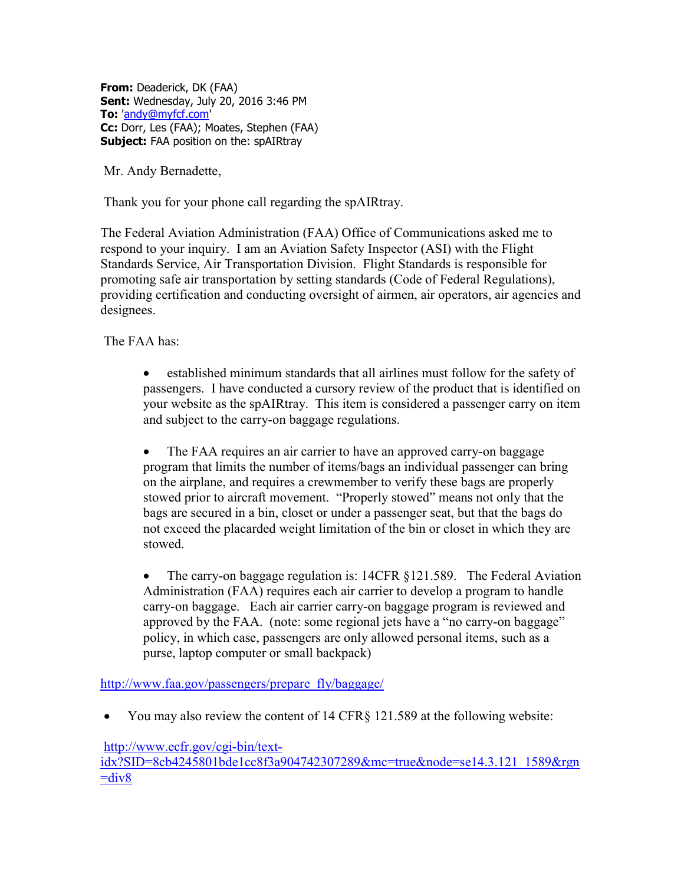From: Deaderick, DK (FAA) Sent: Wednesday, July 20, 2016 3:46 PM To: 'andy@myfcf.com' Cc: Dorr, Les (FAA); Moates, Stephen (FAA) Subject: FAA position on the: spAIRtray

Mr. Andy Bernadette,

Thank you for your phone call regarding the spAIRtray.

The Federal Aviation Administration (FAA) Office of Communications asked me to respond to your inquiry. I am an Aviation Safety Inspector (ASI) with the Flight Standards Service, Air Transportation Division. Flight Standards is responsible for promoting safe air transportation by setting standards (Code of Federal Regulations), providing certification and conducting oversight of airmen, air operators, air agencies and designees.

The FAA has:

 established minimum standards that all airlines must follow for the safety of passengers. I have conducted a cursory review of the product that is identified on your website as the spAIRtray. This item is considered a passenger carry on item and subject to the carry-on baggage regulations.

 The FAA requires an air carrier to have an approved carry-on baggage program that limits the number of items/bags an individual passenger can bring on the airplane, and requires a crewmember to verify these bags are properly stowed prior to aircraft movement. "Properly stowed" means not only that the bags are secured in a bin, closet or under a passenger seat, but that the bags do not exceed the placarded weight limitation of the bin or closet in which they are stowed.

 The carry-on baggage regulation is: 14CFR §121.589. The Federal Aviation Administration (FAA) requires each air carrier to develop a program to handle carry-on baggage. Each air carrier carry-on baggage program is reviewed and approved by the FAA. (note: some regional jets have a "no carry-on baggage" policy, in which case, passengers are only allowed personal items, such as a purse, laptop computer or small backpack)

http://www.faa.gov/passengers/prepare\_fly/baggage/

You may also review the content of 14 CFR§ 121.589 at the following website:

http://www.ecfr.gov/cgi-bin/text-

idx?SID=8cb4245801bde1cc8f3a904742307289&mc=true&node=se14.3.121\_1589&rgn  $=div8$